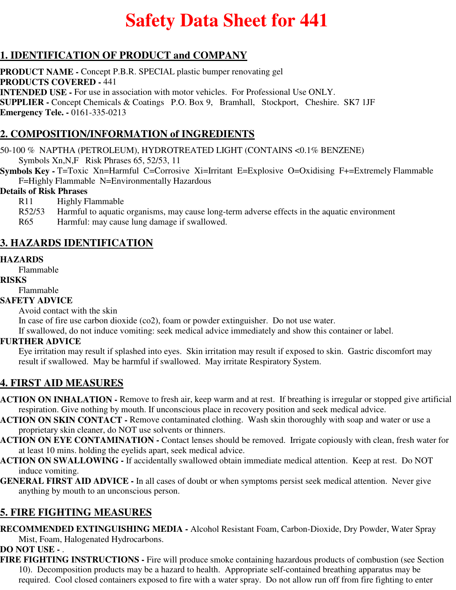# **Safety Data Sheet for 441**

# **1. IDENTIFICATION OF PRODUCT and COMPANY**

**PRODUCT NAME -** Concept P.B.R. SPECIAL plastic bumper renovating gel **PRODUCTS COVERED -** 441 **INTENDED USE -** For use in association with motor vehicles. For Professional Use ONLY. **SUPPLIER -** Concept Chemicals & Coatings P.O. Box 9, Bramhall, Stockport, Cheshire. SK7 1JF **Emergency Tele. -** 0161-335-0213

# **2. COMPOSITION/INFORMATION of INGREDIENTS**

50-100 % NAPTHA (PETROLEUM), HYDROTREATED LIGHT (CONTAINS <0.1% BENZENE) Symbols Xn,N,F Risk Phrases 65, 52/53, 11

**Symbols Key - T=Toxic Xn=Harmful C=Corrosive Xi=Irritant E=Explosive O=Oxidising F+=Extremely Flammable** F=Highly Flammable N=Environmentally Hazardous

#### **Details of Risk Phrases**

R11 Highly Flammable

- R52/53 Harmful to aquatic organisms, may cause long-term adverse effects in the aquatic environment
- R65 Harmful: may cause lung damage if swallowed.

## **3. HAZARDS IDENTIFICATION**

#### **HAZARDS**

Flammable

#### **RISKS**

Flammable

#### **SAFETY ADVICE**

Avoid contact with the skin

In case of fire use carbon dioxide (co2), foam or powder extinguisher. Do not use water.

If swallowed, do not induce vomiting: seek medical advice immediately and show this container or label.

#### **FURTHER ADVICE**

Eye irritation may result if splashed into eyes. Skin irritation may result if exposed to skin. Gastric discomfort may result if swallowed. May be harmful if swallowed. May irritate Respiratory System.

## **4. FIRST AID MEASURES**

**ACTION ON INHALATION -** Remove to fresh air, keep warm and at rest. If breathing is irregular or stopped give artificial respiration. Give nothing by mouth. If unconscious place in recovery position and seek medical advice.

- **ACTION ON SKIN CONTACT** Remove contaminated clothing. Wash skin thoroughly with soap and water or use a proprietary skin cleaner, do NOT use solvents or thinners.
- **ACTION ON EYE CONTAMINATION** Contact lenses should be removed. Irrigate copiously with clean, fresh water for at least 10 mins. holding the eyelids apart, seek medical advice.
- **ACTION ON SWALLOWING** If accidentally swallowed obtain immediate medical attention. Keep at rest. Do NOT induce vomiting.
- **GENERAL FIRST AID ADVICE** In all cases of doubt or when symptoms persist seek medical attention. Never give anything by mouth to an unconscious person.

## **5. FIRE FIGHTING MEASURES**

**RECOMMENDED EXTINGUISHING MEDIA -** Alcohol Resistant Foam, Carbon-Dioxide, Dry Powder, Water Spray Mist, Foam, Halogenated Hydrocarbons.

#### **DO NOT USE -** .

**FIRE FIGHTING INSTRUCTIONS -** Fire will produce smoke containing hazardous products of combustion (see Section 10). Decomposition products may be a hazard to health. Appropriate self-contained breathing apparatus may be required. Cool closed containers exposed to fire with a water spray. Do not allow run off from fire fighting to enter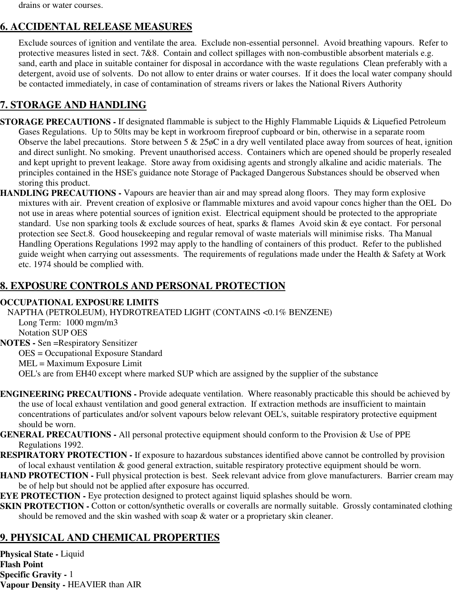drains or water courses.

# **6. ACCIDENTAL RELEASE MEASURES**

Exclude sources of ignition and ventilate the area. Exclude non-essential personnel. Avoid breathing vapours. Refer to protective measures listed in sect. 7&8. Contain and collect spillages with non-combustible absorbent materials e.g. sand, earth and place in suitable container for disposal in accordance with the waste regulations Clean preferably with a detergent, avoid use of solvents. Do not allow to enter drains or water courses. If it does the local water company should be contacted immediately, in case of contamination of streams rivers or lakes the National Rivers Authority

# **7. STORAGE AND HANDLING**

- **STORAGE PRECAUTIONS** If designated flammable is subject to the Highly Flammable Liquids & Liquefied Petroleum Gases Regulations. Up to 50lts may be kept in workroom fireproof cupboard or bin, otherwise in a separate room Observe the label precautions. Store between  $5 \& 25\phi$ C in a dry well ventilated place away from sources of heat, ignition and direct sunlight. No smoking. Prevent unauthorised access. Containers which are opened should be properly resealed and kept upright to prevent leakage. Store away from oxidising agents and strongly alkaline and acidic materials. The principles contained in the HSE's guidance note Storage of Packaged Dangerous Substances should be observed when storing this product.
- **HANDLING PRECAUTIONS** Vapours are heavier than air and may spread along floors. They may form explosive mixtures with air. Prevent creation of explosive or flammable mixtures and avoid vapour concs higher than the OEL Do not use in areas where potential sources of ignition exist. Electrical equipment should be protected to the appropriate standard. Use non sparking tools & exclude sources of heat, sparks & flames Avoid skin & eye contact. For personal protection see Sect.8. Good housekeeping and regular removal of waste materials will minimise risks. Tha Manual Handling Operations Regulations 1992 may apply to the handling of containers of this product. Refer to the published guide weight when carrying out assessments. The requirements of regulations made under the Health & Safety at Work etc. 1974 should be complied with.

# **8. EXPOSURE CONTROLS AND PERSONAL PROTECTION**

#### **OCCUPATIONAL EXPOSURE LIMITS**

NAPTHA (PETROLEUM), HYDROTREATED LIGHT (CONTAINS <0.1% BENZENE) Long Term: 1000 mgm/m3 Notation SUP OES **NOTES -** Sen =Respiratory Sensitizer OES = Occupational Exposure Standard MEL = Maximum Exposure Limit OEL's are from EH40 except where marked SUP which are assigned by the supplier of the substance

- **ENGINEERING PRECAUTIONS** Provide adequate ventilation. Where reasonably practicable this should be achieved by the use of local exhaust ventilation and good general extraction. If extraction methods are insufficient to maintain concentrations of particulates and/or solvent vapours below relevant OEL's, suitable respiratory protective equipment should be worn.
- **GENERAL PRECAUTIONS** All personal protective equipment should conform to the Provision & Use of PPE Regulations 1992.
- **RESPIRATORY PROTECTION** If exposure to hazardous substances identified above cannot be controlled by provision of local exhaust ventilation & good general extraction, suitable respiratory protective equipment should be worn.
- **HAND PROTECTION Full physical protection is best. Seek relevant advice from glove manufacturers. Barrier cream may** be of help but should not be applied after exposure has occurred.
- **EYE PROTECTION -** Eye protection designed to protect against liquid splashes should be worn.
- **SKIN PROTECTION -** Cotton or cotton/synthetic overalls or coveralls are normally suitable. Grossly contaminated clothing should be removed and the skin washed with soap & water or a proprietary skin cleaner.

# **9. PHYSICAL AND CHEMICAL PROPERTIES**

**Physical State -** Liquid **Flash Point Specific Gravity -** 1 **Vapour Density -** HEAVIER than AIR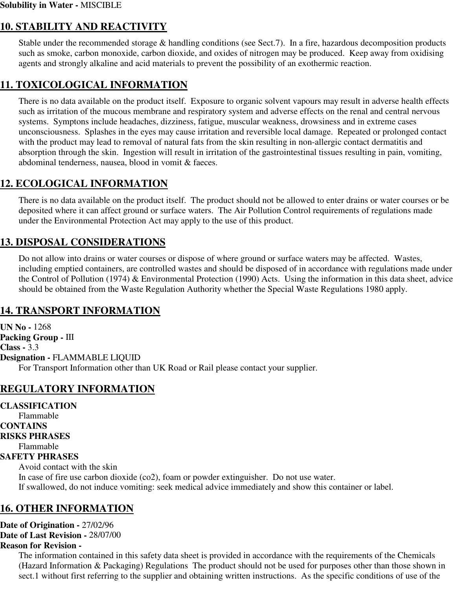## **10. STABILITY AND REACTIVITY**

Stable under the recommended storage & handling conditions (see Sect.7). In a fire, hazardous decomposition products such as smoke, carbon monoxide, carbon dioxide, and oxides of nitrogen may be produced. Keep away from oxidising agents and strongly alkaline and acid materials to prevent the possibility of an exothermic reaction.

## **11. TOXICOLOGICAL INFORMATION**

There is no data available on the product itself. Exposure to organic solvent vapours may result in adverse health effects such as irritation of the mucous membrane and respiratory system and adverse effects on the renal and central nervous systems. Symptons include headaches, dizziness, fatigue, muscular weakness, drowsiness and in extreme cases unconsciousness. Splashes in the eyes may cause irritation and reversible local damage. Repeated or prolonged contact with the product may lead to removal of natural fats from the skin resulting in non-allergic contact dermatitis and absorption through the skin. Ingestion will result in irritation of the gastrointestinal tissues resulting in pain, vomiting, abdominal tenderness, nausea, blood in vomit & faeces.

## **12. ECOLOGICAL INFORMATION**

There is no data available on the product itself. The product should not be allowed to enter drains or water courses or be deposited where it can affect ground or surface waters. The Air Pollution Control requirements of regulations made under the Environmental Protection Act may apply to the use of this product.

## **13. DISPOSAL CONSIDERATIONS**

Do not allow into drains or water courses or dispose of where ground or surface waters may be affected. Wastes, including emptied containers, are controlled wastes and should be disposed of in accordance with regulations made under the Control of Pollution (1974) & Environmental Protection (1990) Acts. Using the information in this data sheet, advice should be obtained from the Waste Regulation Authority whether the Special Waste Regulations 1980 apply.

## **14. TRANSPORT INFORMATION**

**UN No -** 1268 **Packing Group -** III **Class -** 3.3 **Designation -** FLAMMABLE LIQUID For Transport Information other than UK Road or Rail please contact your supplier.

## **REGULATORY INFORMATION**

**CLASSIFICATION** Flammable **CONTAINS RISKS PHRASES** Flammable **SAFETY PHRASES** Avoid contact with the skin In case of fire use carbon dioxide (co2), foam or powder extinguisher. Do not use water. If swallowed, do not induce vomiting: seek medical advice immediately and show this container or label.

#### **16. OTHER INFORMATION**

**Date of Origination -** 27/02/96 **Date of Last Revision -** 28/07/00 **Reason for Revision -** 

> The information contained in this safety data sheet is provided in accordance with the requirements of the Chemicals (Hazard Information & Packaging) Regulations The product should not be used for purposes other than those shown in sect.1 without first referring to the supplier and obtaining written instructions. As the specific conditions of use of the